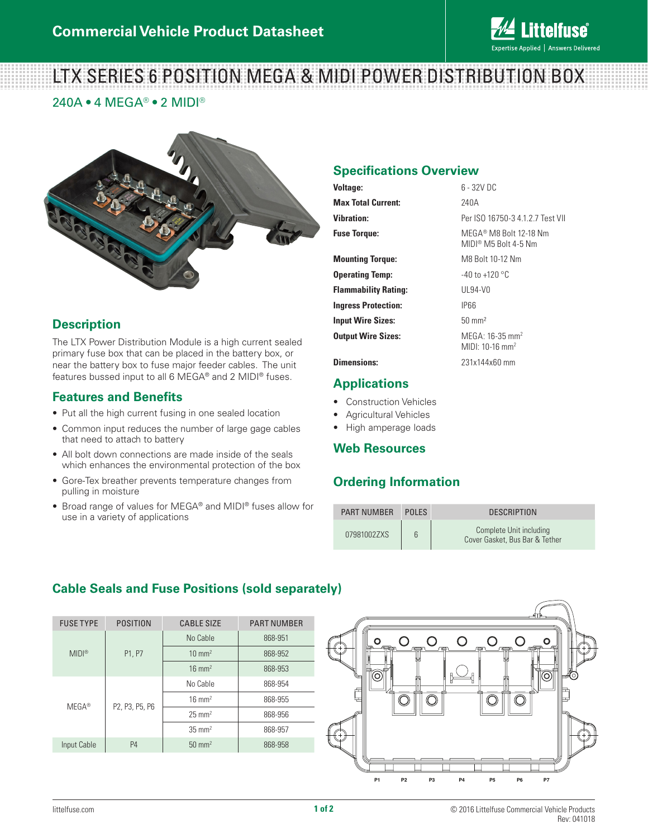

# LTX SERIES 6 POSITION MEGA & MIDI POWER DISTRIBUTION BOX

240A • 4 MEGA® • 2 MIDI®



## **Description**

The LTX Power Distribution Module is a high current sealed primary fuse box that can be placed in the battery box, or near the battery box to fuse major feeder cables. The unit features bussed input to all 6 MEGA® and 2 MIDI® fuses.

## **Features and Benefits**

- Put all the high current fusing in one sealed location
- Common input reduces the number of large gage cables that need to attach to battery
- All bolt down connections are made inside of the seals which enhances the environmental protection of the box
- Gore-Tex breather prevents temperature changes from pulling in moisture
- Broad range of values for MEGA® and MIDI® fuses allow for use in a variety of applications

## **Specifications Overview**

| Voltage:                    | $6 - 32V$ DC                                                 |  |
|-----------------------------|--------------------------------------------------------------|--|
| <b>Max Total Current:</b>   | 240A                                                         |  |
| Vihration:                  | Per ISO 16750-3 4.1.2.7 Test VII                             |  |
| <b>Fuse Torque:</b>         | MEGA® M8 Bolt 12-18 Nm<br>MIDI® M5 Bolt 4-5 Nm               |  |
| <b>Mounting Torgue:</b>     | M8 Bolt 10-12 Nm                                             |  |
| <b>Operating Temp:</b>      | $-40$ to $+120$ °C                                           |  |
| <b>Flammability Rating:</b> | UL94-V0                                                      |  |
| <b>Ingress Protection:</b>  | <b>IP66</b>                                                  |  |
| <b>Input Wire Sizes:</b>    | $50 \text{ mm}^2$                                            |  |
| <b>Output Wire Sizes:</b>   | MEGA: 16-35 mm <sup>2</sup><br>MIDI: $10-16$ mm <sup>2</sup> |  |

**Dimensions:** 231x144x60 mm

#### **Applications**

- Construction Vehicles
- Agricultural Vehicles
- High amperage loads

#### **Web Resources**

## **Ordering Information**

| <b>PART NUMBER</b> | <b>POLES</b> | <b>DESCRIPTION</b>                                        |
|--------------------|--------------|-----------------------------------------------------------|
| 07981002ZXS        | 6            | Complete Unit including<br>Cover Gasket, Bus Bar & Tether |

# **Cable Seals and Fuse Positions (sold separately)**

| <b>FUSE TYPE</b> | <b>POSITION</b> | <b>CABLE SIZE</b> | <b>PART NUMBER</b> |
|------------------|-----------------|-------------------|--------------------|
| MIDI®            | P1, P7          | No Cable          | 868-951            |
|                  |                 | $10 \text{ mm}^2$ | 868-952            |
|                  |                 | $16 \text{ mm}^2$ | 868-953            |
| $MEGA^*$         | P2, P3, P5, P6  | No Cable          | 868-954            |
|                  |                 | $16 \text{ mm}^2$ | 868-955            |
|                  |                 | $25 \text{ mm}^2$ | 868-956            |
|                  |                 | $35 \text{ mm}^2$ | 868-957            |
| Input Cable      | P <sub>4</sub>  | $50 \text{ mm}^2$ | 868-958            |